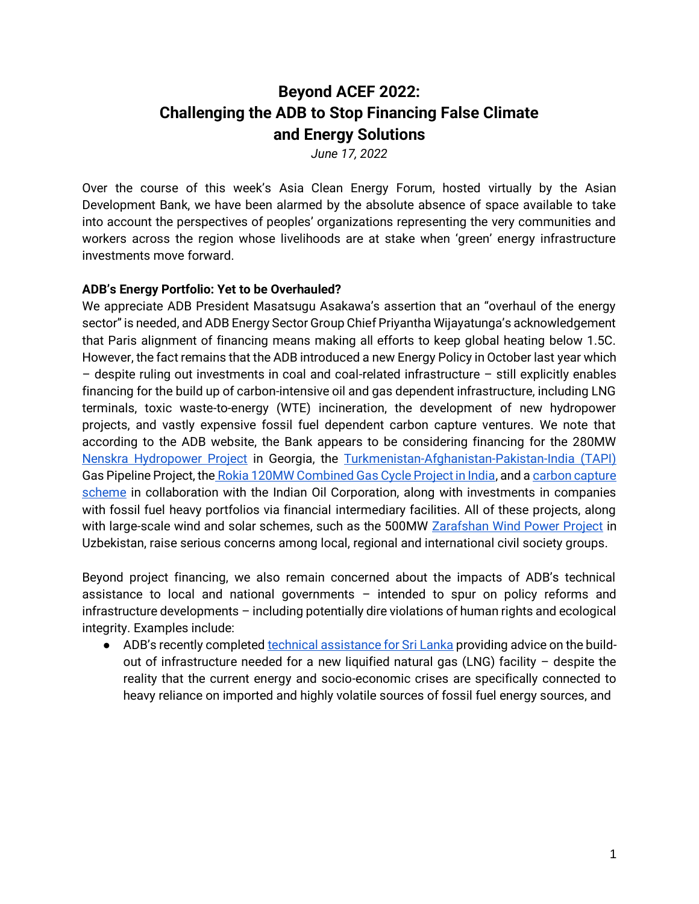# **Beyond ACEF 2022: Challenging the ADB to Stop Financing False Climate and Energy Solutions**

*June 17, 2022*

Over the course of this week's Asia Clean Energy Forum, hosted virtually by the Asian Development Bank, we have been alarmed by the absolute absence of space available to take into account the perspectives of peoples' organizations representing the very communities and workers across the region whose livelihoods are at stake when 'green' energy infrastructure investments move forward.

### **ADB's Energy Portfolio: Yet to be Overhauled?**

We appreciate ADB President Masatsugu Asakawa's assertion that an "overhaul of the energy sector" is needed, and ADB Energy Sector Group Chief Priyantha Wijayatunga's acknowledgement that Paris alignment of financing means making all efforts to keep global heating below 1.5C. However, the fact remains that the ADB introduced a new Energy Policy in October last year which – despite ruling out investments in coal and coal-related infrastructure – still explicitly enables financing for the build up of carbon-intensive oil and gas dependent infrastructure, including LNG terminals, toxic waste-to-energy (WTE) incineration, the development of new hydropower projects, and vastly expensive fossil fuel dependent carbon capture ventures. We note that according to the ADB website, the Bank appears to be considering financing for the 280MW [Nenskra Hydropower Project](https://www.adb.org/projects/49223-001/main) in Georgia, the [Turkmenistan-Afghanistan-Pakistan-India \(TAPI\)](https://www.adb.org/projects/52167-001/main)  Gas Pipeline Project, the [Rokia 120MW Combined Gas Cycle Project in India,](https://www.adb.org/projects/51308-009/main#project-pds) and a carbon capture [scheme](https://www.adb.org/projects/55196-001/main) in collaboration with the Indian Oil Corporation, along with investments in companies with fossil fuel heavy portfolios via financial intermediary facilities. All of these projects, along with large-scale wind and solar schemes, such as the 500MW [Zarafshan Wind Power Project](https://www.adb.org/projects/55248-002/main) in Uzbekistan, raise serious concerns among local, regional and international civil society groups.

Beyond project financing, we also remain concerned about the impacts of ADB's technical assistance to local and national governments – intended to spur on policy reforms and infrastructure developments – including potentially dire violations of human rights and ecological integrity. Examples include:

• ADB's recently completed [technical assistance for Sri Lanka](https://www.adb.org/projects/53193-001/main) providing advice on the buildout of infrastructure needed for a new liquified natural gas (LNG) facility – despite the reality that the current energy and socio-economic crises are specifically connected to heavy reliance on imported and highly volatile sources of fossil fuel energy sources, and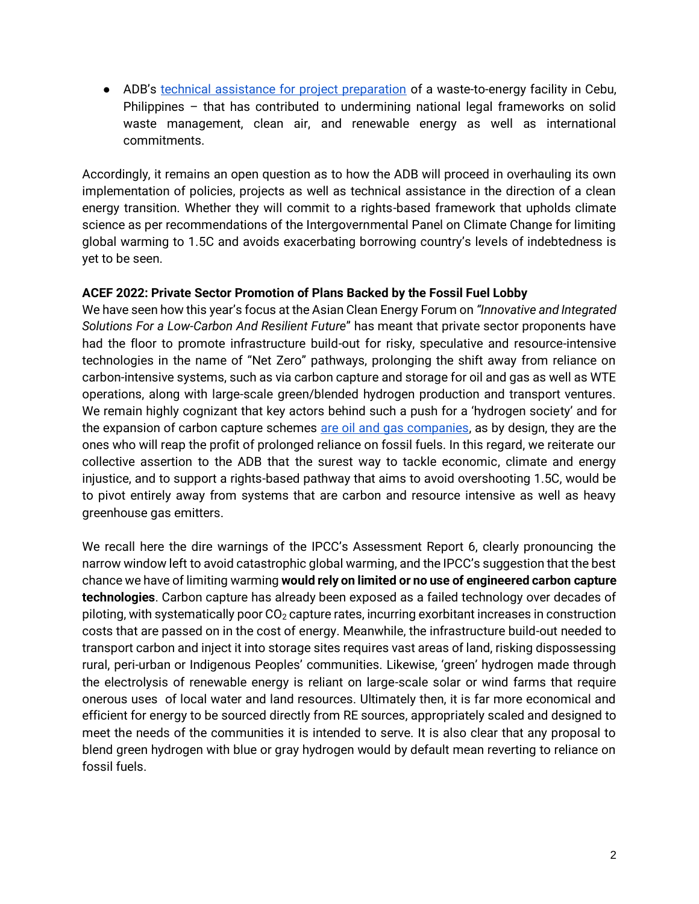● ADB's [technical assistance for project preparation](https://ap3f.adb.org/our-activities/ap3f031-pp008-project-preparation-assistance-cebu-solid-waste-management-ppp-project) of a waste-to-energy facility in Cebu, Philippines – that has contributed to undermining national legal frameworks on solid waste management, clean air, and renewable energy as well as international commitments.

Accordingly, it remains an open question as to how the ADB will proceed in overhauling its own implementation of policies, projects as well as technical assistance in the direction of a clean energy transition. Whether they will commit to a rights-based framework that upholds climate science as per recommendations of the Intergovernmental Panel on Climate Change for limiting global warming to 1.5C and avoids exacerbating borrowing country's levels of indebtedness is yet to be seen.

#### **ACEF 2022: Private Sector Promotion of Plans Backed by the Fossil Fuel Lobby**

We have seen how this year's focus at the Asian Clean Energy Forum on *"Innovative and Integrated Solutions For a Low-Carbon And Resilient Future*" has meant that private sector proponents have had the floor to promote infrastructure build-out for risky, speculative and resource-intensive technologies in the name of "Net Zero" pathways, prolonging the shift away from reliance on carbon-intensive systems, such as via carbon capture and storage for oil and gas as well as WTE operations, along with large-scale green/blended hydrogen production and transport ventures. We remain highly cognizant that key actors behind such a push for a 'hydrogen society' and for the expansion of carbon capture schemes [are oil and gas companies,](https://influencemap.org/report/Gas-Lobbying-And-the-EU-Green-Deal-16405) as by design, they are the ones who will reap the profit of prolonged reliance on fossil fuels. In this regard, we reiterate our collective assertion to the ADB that the surest way to tackle economic, climate and energy injustice, and to support a rights-based pathway that aims to avoid overshooting 1.5C, would be to pivot entirely away from systems that are carbon and resource intensive as well as heavy greenhouse gas emitters.

We recall here the dire warnings of the IPCC's Assessment Report 6, clearly pronouncing the narrow window left to avoid catastrophic global warming, and the IPCC's suggestion that the best chance we have of limiting warming **would rely on limited or no use of engineered carbon capture technologies**. Carbon capture has already been exposed as a failed technology over decades of piloting, with systematically poor  $CO<sub>2</sub>$  capture rates, incurring exorbitant increases in construction costs that are passed on in the cost of energy. Meanwhile, the infrastructure build-out needed to transport carbon and inject it into storage sites requires vast areas of land, risking dispossessing rural, peri-urban or Indigenous Peoples' communities. Likewise, 'green' hydrogen made through the electrolysis of renewable energy is reliant on large-scale solar or wind farms that require onerous uses of local water and land resources. Ultimately then, it is far more economical and efficient for energy to be sourced directly from RE sources, appropriately scaled and designed to meet the needs of the communities it is intended to serve. It is also clear that any proposal to blend green hydrogen with blue or gray hydrogen would by default mean reverting to reliance on fossil fuels.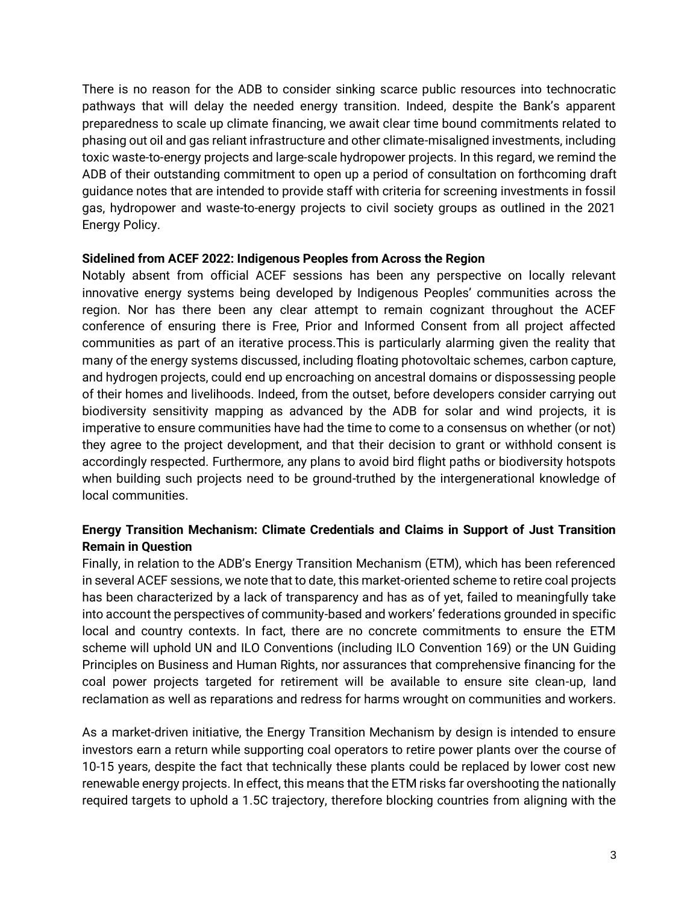There is no reason for the ADB to consider sinking scarce public resources into technocratic pathways that will delay the needed energy transition. Indeed, despite the Bank's apparent preparedness to scale up climate financing, we await clear time bound commitments related to phasing out oil and gas reliant infrastructure and other climate-misaligned investments, including toxic waste-to-energy projects and large-scale hydropower projects. In this regard, we remind the ADB of their outstanding commitment to open up a period of consultation on forthcoming draft guidance notes that are intended to provide staff with criteria for screening investments in fossil gas, hydropower and waste-to-energy projects to civil society groups as outlined in the 2021 Energy Policy.

#### **Sidelined from ACEF 2022: Indigenous Peoples from Across the Region**

Notably absent from official ACEF sessions has been any perspective on locally relevant innovative energy systems being developed by Indigenous Peoples' communities across the region. Nor has there been any clear attempt to remain cognizant throughout the ACEF conference of ensuring there is Free, Prior and Informed Consent from all project affected communities as part of an iterative process.This is particularly alarming given the reality that many of the energy systems discussed, including floating photovoltaic schemes, carbon capture, and hydrogen projects, could end up encroaching on ancestral domains or dispossessing people of their homes and livelihoods. Indeed, from the outset, before developers consider carrying out biodiversity sensitivity mapping as advanced by the ADB for solar and wind projects, it is imperative to ensure communities have had the time to come to a consensus on whether (or not) they agree to the project development, and that their decision to grant or withhold consent is accordingly respected. Furthermore, any plans to avoid bird flight paths or biodiversity hotspots when building such projects need to be ground-truthed by the intergenerational knowledge of local communities.

## **Energy Transition Mechanism: Climate Credentials and Claims in Support of Just Transition Remain in Question**

Finally, in relation to the ADB's Energy Transition Mechanism (ETM), which has been referenced in several ACEF sessions, we note that to date, this market-oriented scheme to retire coal projects has been characterized by a lack of transparency and has as of yet, failed to meaningfully take into account the perspectives of community-based and workers' federations grounded in specific local and country contexts. In fact, there are no concrete commitments to ensure the ETM scheme will uphold UN and ILO Conventions (including ILO Convention 169) or the UN Guiding Principles on Business and Human Rights, nor assurances that comprehensive financing for the coal power projects targeted for retirement will be available to ensure site clean-up, land reclamation as well as reparations and redress for harms wrought on communities and workers.

As a market-driven initiative, the Energy Transition Mechanism by design is intended to ensure investors earn a return while supporting coal operators to retire power plants over the course of 10-15 years, despite the fact that technically these plants could be replaced by lower cost new renewable energy projects. In effect, this means that the ETM risks far overshooting the nationally required targets to uphold a 1.5C trajectory, therefore blocking countries from aligning with the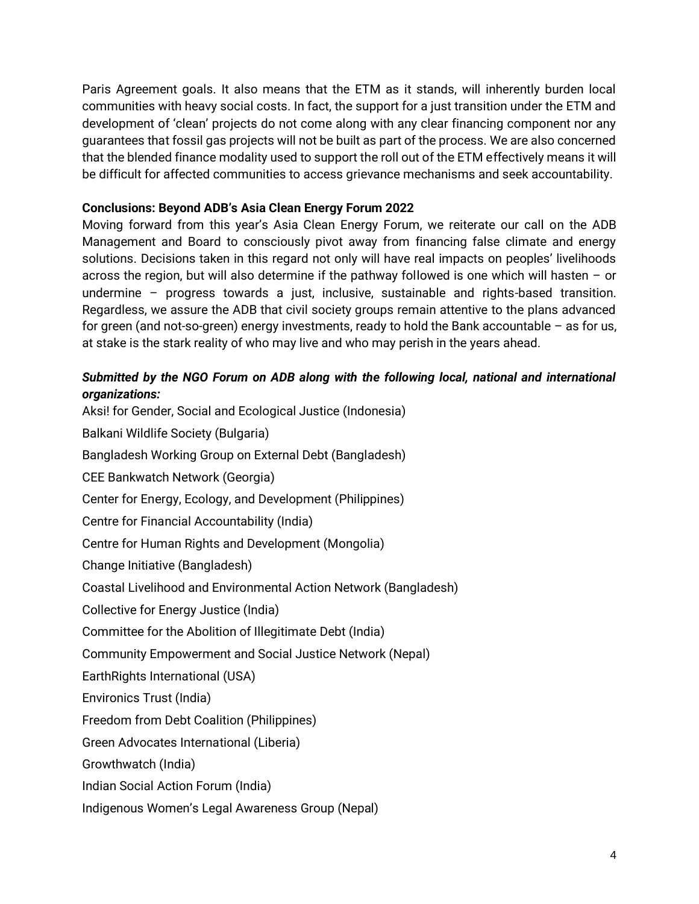Paris Agreement goals. It also means that the ETM as it stands, will inherently burden local communities with heavy social costs. In fact, the support for a just transition under the ETM and development of 'clean' projects do not come along with any clear financing component nor any guarantees that fossil gas projects will not be built as part of the process. We are also concerned that the blended finance modality used to support the roll out of the ETM effectively means it will be difficult for affected communities to access grievance mechanisms and seek accountability.

## **Conclusions: Beyond ADB's Asia Clean Energy Forum 2022**

Moving forward from this year's Asia Clean Energy Forum, we reiterate our call on the ADB Management and Board to consciously pivot away from financing false climate and energy solutions. Decisions taken in this regard not only will have real impacts on peoples' livelihoods across the region, but will also determine if the pathway followed is one which will hasten – or undermine – progress towards a just, inclusive, sustainable and rights-based transition. Regardless, we assure the ADB that civil society groups remain attentive to the plans advanced for green (and not-so-green) energy investments, ready to hold the Bank accountable – as for us, at stake is the stark reality of who may live and who may perish in the years ahead.

## *Submitted by the NGO Forum on ADB along with the following local, national and international organizations:*

Aksi! for Gender, Social and Ecological Justice (Indonesia) Balkani Wildlife Society (Bulgaria) Bangladesh Working Group on External Debt (Bangladesh) CEE Bankwatch Network (Georgia) Center for Energy, Ecology, and Development (Philippines) Centre for Financial Accountability (India) Centre for Human Rights and Development (Mongolia) Change Initiative (Bangladesh) Coastal Livelihood and Environmental Action Network (Bangladesh) Collective for Energy Justice (India) Committee for the Abolition of Illegitimate Debt (India) Community Empowerment and Social Justice Network (Nepal) EarthRights International (USA) Environics Trust (India) Freedom from Debt Coalition (Philippines) Green Advocates International (Liberia) Growthwatch (India) Indian Social Action Forum (India)

Indigenous Women's Legal Awareness Group (Nepal)